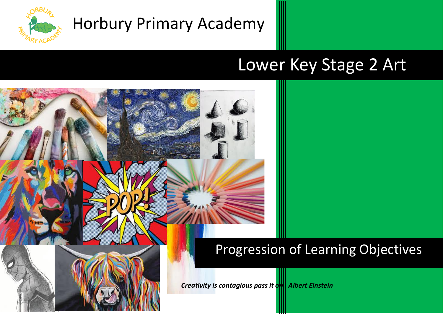

## Lower Key Stage 2 Art

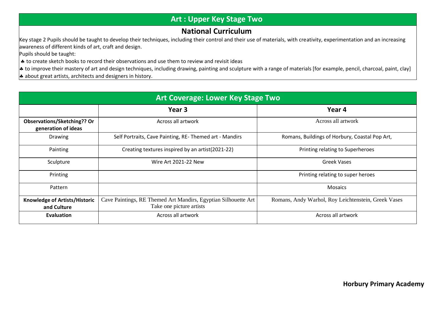## **Art : Upper Key Stage Two**

## **National Curriculum**

Key stage 2 Pupils should be taught to develop their techniques, including their control and their use of materials, with creativity, experimentation and an increasing awareness of different kinds of art, craft and design.

Pupils should be taught:

- $\vert$   $\bullet$  to create sketch books to record their observations and use them to review and revisit ideas
- $\ast$  to improve their mastery of art and design techniques, including drawing, painting and sculpture with a range of materials [for example, pencil, charcoal, paint, clay]
- $\ast$  about great artists, architects and designers in history.

| <b>Art Coverage: Lower Key Stage Two</b>            |                                                                                            |                                                     |  |  |
|-----------------------------------------------------|--------------------------------------------------------------------------------------------|-----------------------------------------------------|--|--|
|                                                     | Year 3                                                                                     | Year 4                                              |  |  |
| Observations/Sketching?? Or<br>generation of ideas  | Across all artwork                                                                         | Across all artwork                                  |  |  |
| <b>Drawing</b>                                      | Self Portraits, Cave Painting, RE- Themed art - Mandirs                                    | Romans, Buildings of Horbury, Coastal Pop Art,      |  |  |
| Painting                                            | Creating textures inspired by an artist(2021-22)                                           | Printing relating to Superheroes                    |  |  |
| Sculpture                                           | Wire Art 2021-22 New                                                                       | <b>Greek Vases</b>                                  |  |  |
| Printing                                            |                                                                                            | Printing relating to super heroes                   |  |  |
| Pattern                                             |                                                                                            | <b>Mosaics</b>                                      |  |  |
| <b>Knowledge of Artists/Historic</b><br>and Culture | Cave Paintings, RE Themed Art Mandirs, Egyptian Silhouette Art<br>Take one picture artists | Romans, Andy Warhol, Roy Leichtenstein, Greek Vases |  |  |
| <b>Evaluation</b>                                   | Across all artwork                                                                         | Across all artwork                                  |  |  |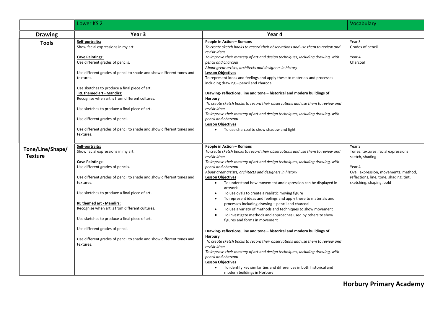|                                    | Lower KS <sub>2</sub>                                                                                                                                                                                                                                                                                                                                                                                                                                                                                                   |                                                                                                                                                                                                                                                                                                                                                                                                                                                                                                                                                                                                                                                                                                                                                                                                                                                                                                                                                                                                                                                                                                                                                                                                         | Vocabulary                                                                                                                                                                                 |
|------------------------------------|-------------------------------------------------------------------------------------------------------------------------------------------------------------------------------------------------------------------------------------------------------------------------------------------------------------------------------------------------------------------------------------------------------------------------------------------------------------------------------------------------------------------------|---------------------------------------------------------------------------------------------------------------------------------------------------------------------------------------------------------------------------------------------------------------------------------------------------------------------------------------------------------------------------------------------------------------------------------------------------------------------------------------------------------------------------------------------------------------------------------------------------------------------------------------------------------------------------------------------------------------------------------------------------------------------------------------------------------------------------------------------------------------------------------------------------------------------------------------------------------------------------------------------------------------------------------------------------------------------------------------------------------------------------------------------------------------------------------------------------------|--------------------------------------------------------------------------------------------------------------------------------------------------------------------------------------------|
| <b>Drawing</b>                     | Year 3                                                                                                                                                                                                                                                                                                                                                                                                                                                                                                                  | Year 4                                                                                                                                                                                                                                                                                                                                                                                                                                                                                                                                                                                                                                                                                                                                                                                                                                                                                                                                                                                                                                                                                                                                                                                                  |                                                                                                                                                                                            |
| <b>Tools</b>                       | Self-portraits:<br>Show facial expressions in my art.<br><b>Cave Paintings:</b><br>Use different grades of pencils.<br>Use different grades of pencil to shade and show different tones and<br>textures.<br>Use sketches to produce a final piece of art.<br><b>RE themed art - Mandirs:</b><br>Recognise when art is from different cultures.<br>Use sketches to produce a final piece of art.<br>Use different grades of pencil.<br>Use different grades of pencil to shade and show different tones and<br>textures. | People in Action - Romans<br>To create sketch books to record their observations and use them to review and<br>revisit ideas<br>To improve their mastery of art and design techniques, including drawing, with<br>pencil and charcoal<br>About great artists, architects and designers in history<br><b>Lesson Objectives</b><br>To represent ideas and feelings and apply these to materials and processes<br>including drawing - pencil and charcoal<br>Drawing-reflections, line and tone - historical and modern buildings of<br>Horbury<br>To create sketch books to record their observations and use them to review and<br>revisit ideas<br>To improve their mastery of art and design techniques, including drawing, with<br>pencil and charcoal<br><b>Lesson Objectives</b><br>To use charcoal to show shadow and light                                                                                                                                                                                                                                                                                                                                                                        | Year 3<br>Grades of pencil<br>Year 4<br>Charcoal                                                                                                                                           |
| Tone/Line/Shape/<br><b>Texture</b> | Self-portraits:<br>Show facial expressions in my art.<br><b>Cave Paintings:</b><br>Use different grades of pencils.<br>Use different grades of pencil to shade and show different tones and<br>textures.<br>Use sketches to produce a final piece of art.<br><b>RE themed art - Mandirs:</b><br>Recognise when art is from different cultures.<br>Use sketches to produce a final piece of art.<br>Use different grades of pencil.<br>Use different grades of pencil to shade and show different tones and<br>textures. | People in Action - Romans<br>To create sketch books to record their observations and use them to review and<br>revisit ideas<br>To improve their mastery of art and design techniques, including drawing, with<br>pencil and charcoal<br>About great artists, architects and designers in history<br><b>Lesson Objectives</b><br>To understand how movement and expression can be displayed in<br>$\bullet$<br>artwork<br>To use ovals to create a realistic moving figure<br>To represent ideas and feelings and apply these to materials and<br>processes including drawing - pencil and charcoal<br>To use a variety of methods and techniques to show movement<br>To investigate methods and approaches used by others to show<br>figures and forms in movement<br>Drawing-reflections, line and tone - historical and modern buildings of<br>Horbury<br>To create sketch books to record their observations and use them to review and<br>revisit ideas<br>To improve their mastery of art and design techniques, including drawing, with<br>pencil and charcoal<br><b>Lesson Objectives</b><br>To identify key similarities and differences in both historical and<br>modern buildings in Horbury | Year 3<br>Tones, textures, facial expressions,<br>sketch, shading<br>Year 4<br>Oval, expression, movements, method,<br>reflections, line, tone, shading, tint,<br>sketching, shaping, bold |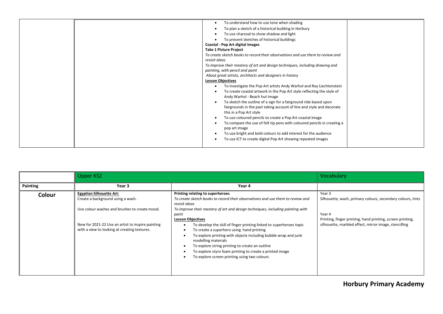| To understand how to use tone when shading                                     |  |
|--------------------------------------------------------------------------------|--|
| To plan a sketch of a historical building in Horbury                           |  |
| To use charcoal to show shadow and light                                       |  |
| To present sketches of historical buildings                                    |  |
| Coastal - Pop Art digital images                                               |  |
| <b>Take 1 Picture Project</b>                                                  |  |
| To create sketch books to record their observations and use them to review and |  |
| revisit ideas                                                                  |  |
| To improve their mastery of art and design techniques, including drawing and   |  |
| painting, with pencil and paint                                                |  |
| About great artists, architects and designers in history                       |  |
| <b>Lesson Objectives</b>                                                       |  |
| To investigate the Pop Art artists Andy Warhol and Roy Liechtenstein           |  |
| To create coastal artwork in the Pop Art style reflecting the style of         |  |
| Andy Warhol - Beach hut image                                                  |  |
| To sketch the outline of a sign for a fairground ride based upon               |  |
| fairgrounds in the past taking account of line and style and decorate          |  |
| this in a Pop Art style                                                        |  |
| To use coloured pencils to create a Pop Art coastal image                      |  |
| To compare the use of felt tip pens with coloured pencils in creating a        |  |
| pop art image                                                                  |  |
| To use bright and bold colours to add interest for the audience                |  |
| To use ICT to create digital Pop Art showing repeated images                   |  |
|                                                                                |  |

|          | <b>Upper KS2</b>                                                                                                      |                                                                                                                                                                                                                                                                                                                                                | Vocabulary                                                                                                                    |
|----------|-----------------------------------------------------------------------------------------------------------------------|------------------------------------------------------------------------------------------------------------------------------------------------------------------------------------------------------------------------------------------------------------------------------------------------------------------------------------------------|-------------------------------------------------------------------------------------------------------------------------------|
| Painting | Year 3                                                                                                                | Year 4                                                                                                                                                                                                                                                                                                                                         |                                                                                                                               |
| Colour   | <b>Egyptian Silhouette Art:</b><br>Create a background using a wash.<br>Use colour washes and brushes to create mood. | Printing relating to superheroes<br>To create sketch books to record their observations and use them to review and<br>revisit ideas<br>To improve their mastery of art and design techniques, including painting with                                                                                                                          | Year 3<br>Silhouette, wash, primary colours, secondary colours, tints                                                         |
|          | New for 2021-22 Use an artist to inspire painting<br>with a view to looking at creating textures.                     | paint<br><b>Lesson Objectives</b><br>To develop the skill of finger printing linked to superheroes topic<br>$\bullet$<br>To create a superhero using hand printing<br>$\bullet$<br>To explore printing with objects including bubble wrap and junk<br>$\bullet$<br>modelling materials<br>To explore string printing to create an outline<br>٠ | Year 4<br>Printing, finger printing, hand printing, screen printing,<br>silhouette, marbled effect, mirror image, stencilling |
|          |                                                                                                                       | To explore styro foam printing to create a printed image<br>To explore screen printing using two colours<br>$\bullet$                                                                                                                                                                                                                          |                                                                                                                               |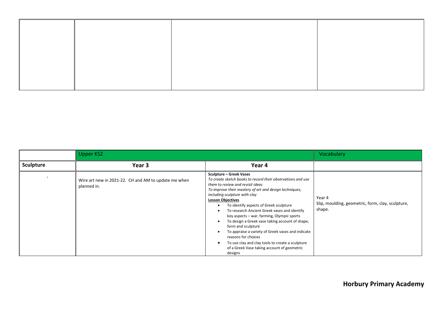|                  | Upper KS2                                                           |                                                                                                                                                                                                                                                                                                                                                                                                                                                                                                                                                                                                                                                                     | Vocabulary                                                            |
|------------------|---------------------------------------------------------------------|---------------------------------------------------------------------------------------------------------------------------------------------------------------------------------------------------------------------------------------------------------------------------------------------------------------------------------------------------------------------------------------------------------------------------------------------------------------------------------------------------------------------------------------------------------------------------------------------------------------------------------------------------------------------|-----------------------------------------------------------------------|
| <b>Sculpture</b> | Year <sub>3</sub>                                                   | Year 4                                                                                                                                                                                                                                                                                                                                                                                                                                                                                                                                                                                                                                                              |                                                                       |
|                  | Wire art new in 2021-22. CH and AM to update me when<br>planned in. | <b>Sculpture – Greek Vases</b><br>To create sketch books to record their observations and use<br>them to review and revisit ideas<br>To improve their mastery of art and design techniques,<br>including sculpture with clay<br><b>Lesson Objectives</b><br>To identify aspects of Greek sculpture<br>To research Ancient Greek vases and identify<br>key aspects - war, farming, Olympic sports<br>To design a Greek vase taking account of shape,<br>form and sculpture<br>To appraise a variety of Greek vases and indicate<br>reasons for choices<br>To use clay and clay tools to create a sculpture<br>of a Greek Vase taking account of geometric<br>designs | Year 4<br>Slip, moulding, geometric, form, clay, sculpture,<br>shape. |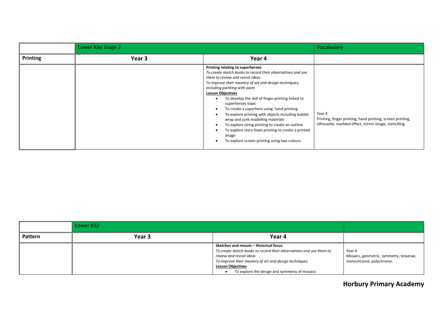|          | Lower Key Stage 2 |                                                                                                                                                                                                                                                                                                                                                                                                                                                                                                                                                                                                                                               | Vocabulary                                                                                                                    |
|----------|-------------------|-----------------------------------------------------------------------------------------------------------------------------------------------------------------------------------------------------------------------------------------------------------------------------------------------------------------------------------------------------------------------------------------------------------------------------------------------------------------------------------------------------------------------------------------------------------------------------------------------------------------------------------------------|-------------------------------------------------------------------------------------------------------------------------------|
| Printing | Year 3            | Year 4                                                                                                                                                                                                                                                                                                                                                                                                                                                                                                                                                                                                                                        |                                                                                                                               |
|          |                   | Printing relating to superheroes<br>To create sketch books to record their observations and use<br>them to review and revisit ideas<br>To improve their mastery of art and design techniques,<br>including painting with paint<br><b>Lesson Objectives</b><br>To develop the skill of finger printing linked to<br>superheroes topic<br>To create a superhero using hand printing<br>To explore printing with objects including bubble<br>wrap and junk modelling materials<br>To explore string printing to create an outline<br>To explore styro foam printing to create a printed<br>image<br>To explore screen printing using two colours | Year 4<br>Printing, finger printing, hand printing, screen printing,<br>silhouette, marbled effect, mirror image, stencilling |

|                | Lower KS2         |                                                                                                                                                                                                                                                                                 |                                                                              |
|----------------|-------------------|---------------------------------------------------------------------------------------------------------------------------------------------------------------------------------------------------------------------------------------------------------------------------------|------------------------------------------------------------------------------|
| <b>Pattern</b> | Year <sub>3</sub> | Year 4                                                                                                                                                                                                                                                                          |                                                                              |
|                |                   | Sketches and mosaic - Historical focus<br>To create sketch books to record their observations and use them to<br>review and revisit ideas<br>To improve their mastery of art and design techniques<br><b>Lesson Objectives</b><br>To explore the design and symmetry of mosaics | Year 4<br>Mosaics, geometric, symmetry, tesserae,<br>monochrome, polychrome. |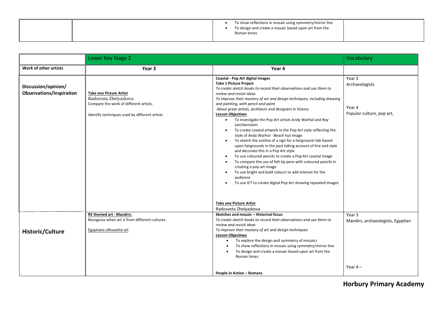|  | To show reflections in mosaic using symmetry/mirror line<br>To design and create a mosaic based upon art from the<br>Roman times |
|--|----------------------------------------------------------------------------------------------------------------------------------|
|--|----------------------------------------------------------------------------------------------------------------------------------|

|                                                        | Lower Key Stage 2                                                                                                                                  |                                                                                                                                                                                                                                                                                                                                                                                                                                                                                                                                                                                                                                                                                                                                                                                                                                                                                                                                                                                                                                                           | Vocabulary                                                      |
|--------------------------------------------------------|----------------------------------------------------------------------------------------------------------------------------------------------------|-----------------------------------------------------------------------------------------------------------------------------------------------------------------------------------------------------------------------------------------------------------------------------------------------------------------------------------------------------------------------------------------------------------------------------------------------------------------------------------------------------------------------------------------------------------------------------------------------------------------------------------------------------------------------------------------------------------------------------------------------------------------------------------------------------------------------------------------------------------------------------------------------------------------------------------------------------------------------------------------------------------------------------------------------------------|-----------------------------------------------------------------|
| Work of other artists                                  | Year 3                                                                                                                                             | Year 4                                                                                                                                                                                                                                                                                                                                                                                                                                                                                                                                                                                                                                                                                                                                                                                                                                                                                                                                                                                                                                                    |                                                                 |
| Discussion/opinion/<br><b>Observations/inspiration</b> | <b>Take one Picture Artist</b><br>Radosveta Zhelyazkova<br>Compare the work of different artists.<br>Identify techniques used by different artists | Coastal - Pop Art digital images<br><b>Take 1 Picture Project</b><br>To create sketch books to record their observations and use them to<br>review and revisit ideas<br>To improve their mastery of art and design techniques, including drawing<br>and painting, with pencil and paint<br>About great artists, architects and designers in history<br><b>Lesson Objectives</b><br>To investigate the Pop Art artists Andy Warhol and Roy<br>$\bullet$<br>Liechtenstein<br>To create coastal artwork in the Pop Art style reflecting the<br>style of Andy Warhol - Beach hut image<br>To sketch the outline of a sign for a fairground ride based<br>upon fairgrounds in the past taking account of line and style<br>and decorate this in a Pop Art style<br>To use coloured pencils to create a Pop Art coastal image<br>To compare the use of felt tip pens with coloured pencils in<br>creating a pop art image<br>To use bright and bold colours to add interest for the<br>audience<br>To use ICT to create digital Pop Art showing repeated images | Year 3<br>Archaeologists<br>Year 4<br>Popular culture, pop art, |
|                                                        |                                                                                                                                                    | <b>Take one Picture Artist</b><br>Radosveta Zhelyazkova                                                                                                                                                                                                                                                                                                                                                                                                                                                                                                                                                                                                                                                                                                                                                                                                                                                                                                                                                                                                   |                                                                 |
| <b>Historic/Culture</b>                                | <b>RE themed art - Mandirs:</b><br>Recognise when art is from different cultures.<br><b>Egyptians silhouette art</b>                               | Sketches and mosaic - Historical focus<br>To create sketch books to record their observations and use them to<br>review and revisit ideas<br>To improve their mastery of art and design techniques<br><b>Lesson Objectives</b><br>To explore the design and symmetry of mosaics<br>$\bullet$<br>To show reflections in mosaic using symmetry/mirror line<br>To design and create a mosaic based upon art from the<br>Roman times                                                                                                                                                                                                                                                                                                                                                                                                                                                                                                                                                                                                                          | Year 3<br>Mandirs, archaeologists, Egyptian                     |
|                                                        |                                                                                                                                                    | People in Action - Romans                                                                                                                                                                                                                                                                                                                                                                                                                                                                                                                                                                                                                                                                                                                                                                                                                                                                                                                                                                                                                                 | Year $4-$                                                       |